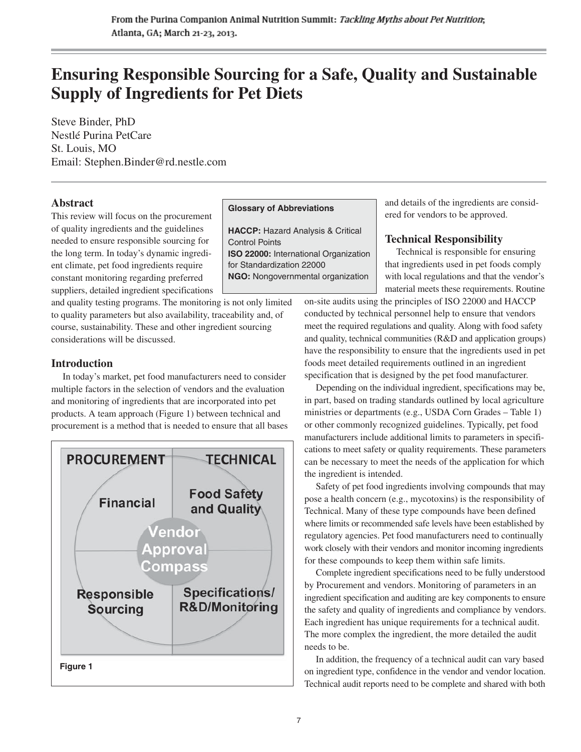# **Ensuring Responsible Sourcing for a Safe, Quality and Sustainable Supply of Ingredients for Pet Diets**

Steve Binder, PhD Nestlé Purina PetCare St. Louis, MO Email: Stephen.Binder@rd.nestle.com

## **Abstract**

This review will focus on the procurement of quality ingredients and the guidelines needed to ensure responsible sourcing for the long term. In today's dynamic ingredient climate, pet food ingredients require constant monitoring regarding preferred suppliers, detailed ingredient specifications

and quality testing programs. The monitoring is not only limited to quality parameters but also availability, traceability and, of course, sustainability. These and other ingredient sourcing considerations will be discussed.

# **Introduction**

In today's market, pet food manufacturers need to consider multiple factors in the selection of vendors and the evaluation and monitoring of ingredients that are incorporated into pet products. A team approach (Figure 1) between technical and procurement is a method that is needed to ensure that all bases



#### **Glossary of Abbreviations**

**HACCP:** Hazard Analysis & Critical Control Points **ISO 22000:** International Organization for Standardization 22000 **NGO:** Nongovernmental organization

and details of the ingredients are considered for vendors to be approved.

# **Technical Responsibility**

Technical is responsible for ensuring that ingredients used in pet foods comply with local regulations and that the vendor's material meets these requirements. Routine

on-site audits using the principles of ISO 22000 and HACCP conducted by technical personnel help to ensure that vendors meet the required regulations and quality. Along with food safety and quality, technical communities (R&D and application groups) have the responsibility to ensure that the ingredients used in pet foods meet detailed requirements outlined in an ingredient specification that is designed by the pet food manufacturer.

Depending on the individual ingredient, specifications may be, in part, based on trading standards outlined by local agriculture ministries or departments (e.g., USDA Corn Grades – Table 1) or other commonly recognized guidelines. Typically, pet food manufacturers include additional limits to parameters in specifications to meet safety or quality requirements. These parameters can be necessary to meet the needs of the application for which the ingredient is intended.

Safety of pet food ingredients involving compounds that may pose a health concern (e.g., mycotoxins) is the responsibility of Technical. Many of these type compounds have been defined where limits or recommended safe levels have been established by regulatory agencies. Pet food manufacturers need to continually work closely with their vendors and monitor incoming ingredients for these compounds to keep them within safe limits.

Complete ingredient specifications need to be fully understood by Procurement and vendors. Monitoring of parameters in an ingredient specification and auditing are key components to ensure the safety and quality of ingredients and compliance by vendors. Each ingredient has unique requirements for a technical audit. The more complex the ingredient, the more detailed the audit needs to be.

In addition, the frequency of a technical audit can vary based on ingredient type, confidence in the vendor and vendor location. Technical audit reports need to be complete and shared with both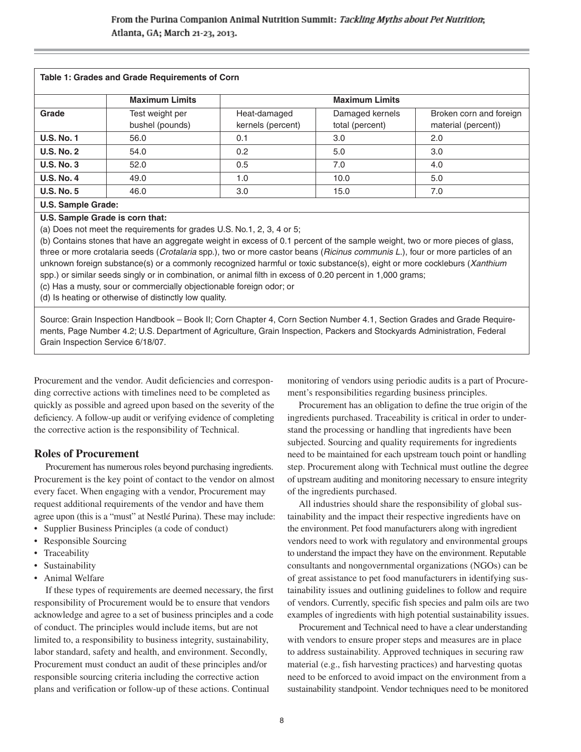| Grade             | <b>Maximum Limits</b><br>Test weight per<br>bushel (pounds) | <b>Maximum Limits</b>             |                                    |                                                |
|-------------------|-------------------------------------------------------------|-----------------------------------|------------------------------------|------------------------------------------------|
|                   |                                                             | Heat-damaged<br>kernels (percent) | Damaged kernels<br>total (percent) | Broken corn and foreign<br>material (percent)) |
| <b>U.S. No. 1</b> | 56.0                                                        | 0.1                               | 3.0                                | 2.0                                            |
| <b>U.S. No. 2</b> | 54.0                                                        | 0.2 <sub>0</sub>                  | 5.0                                | 3.0                                            |
| <b>U.S. No. 3</b> | 52.0                                                        | 0.5                               | 7.0                                | 4.0                                            |
| <b>U.S. No. 4</b> | 49.0                                                        | 1.0                               | 10.0                               | 5.0                                            |
| <b>U.S. No. 5</b> | 46.0                                                        | 3.0                               | 15.0                               | 7.0                                            |

# **U.S. Sample Grade:**

#### **U.S. Sample Grade is corn that:**

(a) Does not meet the requirements for grades U.S. No.1, 2, 3, 4 or 5;

(b) Contains stones that have an aggregate weight in excess of 0.1 percent of the sample weight, two or more pieces of glass, three or more crotalaria seeds (Crotalaria spp.), two or more castor beans (Ricinus communis L.), four or more particles of an unknown foreign substance(s) or a commonly recognized harmful or toxic substance(s), eight or more cockleburs (Xanthium spp.) or similar seeds singly or in combination, or animal filth in excess of 0.20 percent in 1,000 grams;

(c) Has a musty, sour or commercially objectionable foreign odor; or

(d) Is heating or otherwise of distinctly low quality.

Source: Grain Inspection Handbook – Book II; Corn Chapter 4, Corn Section Number 4.1, Section Grades and Grade Requirements, Page Number 4.2; U.S. Department of Agriculture, Grain Inspection, Packers and Stockyards Administration, Federal Grain Inspection Service 6/18/07.

Procurement and the vendor. Audit deficiencies and corresponding corrective actions with timelines need to be completed as quickly as possible and agreed upon based on the severity of the deficiency. A follow-up audit or verifying evidence of completing the corrective action is the responsibility of Technical.

### **Roles of Procurement**

Procurement has numerous roles beyond purchasing ingredients. Procurement is the key point of contact to the vendor on almost every facet. When engaging with a vendor, Procurement may request additional requirements of the vendor and have them agree upon (this is a "must" at Nestlé Purina). These may include:

- Supplier Business Principles (a code of conduct)
- Responsible Sourcing
- Traceability
- Sustainability
- Animal Welfare

If these types of requirements are deemed necessary, the first responsibility of Procurement would be to ensure that vendors acknowledge and agree to a set of business principles and a code of conduct. The principles would include items, but are not limited to, a responsibility to business integrity, sustainability, labor standard, safety and health, and environment. Secondly, Procurement must conduct an audit of these principles and/or responsible sourcing criteria including the corrective action plans and verification or follow-up of these actions. Continual

monitoring of vendors using periodic audits is a part of Procurement's responsibilities regarding business principles.

Procurement has an obligation to define the true origin of the ingredients purchased. Traceability is critical in order to understand the processing or handling that ingredients have been subjected. Sourcing and quality requirements for ingredients need to be maintained for each upstream touch point or handling step. Procurement along with Technical must outline the degree of upstream auditing and monitoring necessary to ensure integrity of the ingredients purchased.

All industries should share the responsibility of global sustainability and the impact their respective ingredients have on the environment. Pet food manufacturers along with ingredient vendors need to work with regulatory and environmental groups to understand the impact they have on the environment. Reputable consultants and nongovernmental organizations (NGOs) can be of great assistance to pet food manufacturers in identifying sustainability issues and outlining guidelines to follow and require of vendors. Currently, specific fish species and palm oils are two examples of ingredients with high potential sustainability issues.

Procurement and Technical need to have a clear understanding with vendors to ensure proper steps and measures are in place to address sustainability. Approved techniques in securing raw material (e.g., fish harvesting practices) and harvesting quotas need to be enforced to avoid impact on the environment from a sustainability standpoint. Vendor techniques need to be monitored